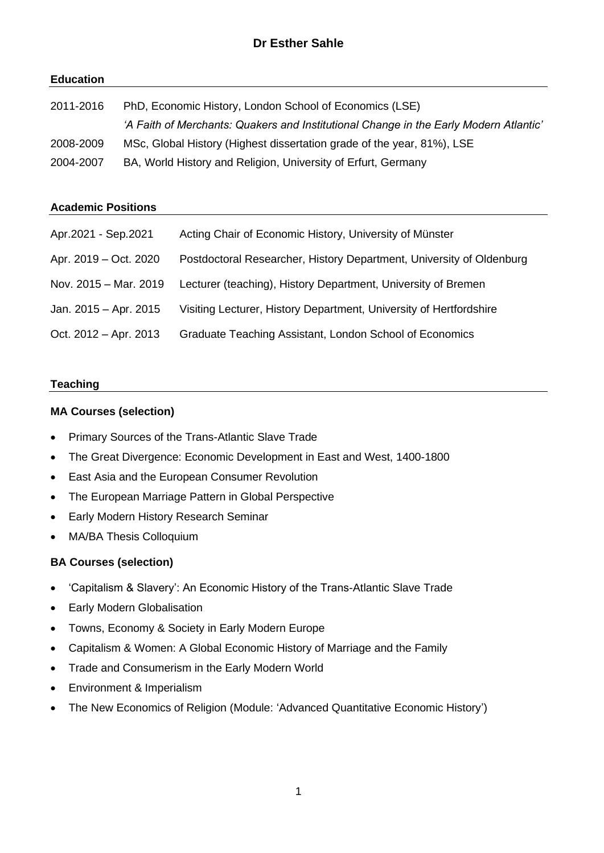# **Education**

| 2011-2016 | PhD, Economic History, London School of Economics (LSE)                               |  |
|-----------|---------------------------------------------------------------------------------------|--|
|           | 'A Faith of Merchants: Quakers and Institutional Change in the Early Modern Atlantic' |  |
| 2008-2009 | MSc, Global History (Highest dissertation grade of the year, 81%), LSE                |  |
| 2004-2007 | BA, World History and Religion, University of Erfurt, Germany                         |  |

#### **Academic Positions**

| Apr.2021 - Sep.2021   | Acting Chair of Economic History, University of Münster              |
|-----------------------|----------------------------------------------------------------------|
| Apr. 2019 – Oct. 2020 | Postdoctoral Researcher, History Department, University of Oldenburg |
| Nov. 2015 - Mar. 2019 | Lecturer (teaching), History Department, University of Bremen        |
| Jan. 2015 - Apr. 2015 | Visiting Lecturer, History Department, University of Hertfordshire   |
| Oct. 2012 - Apr. 2013 | Graduate Teaching Assistant, London School of Economics              |

#### **Teaching**

#### **MA Courses (selection)**

- Primary Sources of the Trans-Atlantic Slave Trade
- The Great Divergence: Economic Development in East and West, 1400-1800
- East Asia and the European Consumer Revolution
- The European Marriage Pattern in Global Perspective
- Early Modern History Research Seminar
- MA/BA Thesis Colloquium

# **BA Courses (selection)**

- 'Capitalism & Slavery': An Economic History of the Trans-Atlantic Slave Trade
- Early Modern Globalisation
- Towns, Economy & Society in Early Modern Europe
- Capitalism & Women: A Global Economic History of Marriage and the Family
- Trade and Consumerism in the Early Modern World
- Environment & Imperialism
- The New Economics of Religion (Module: 'Advanced Quantitative Economic History')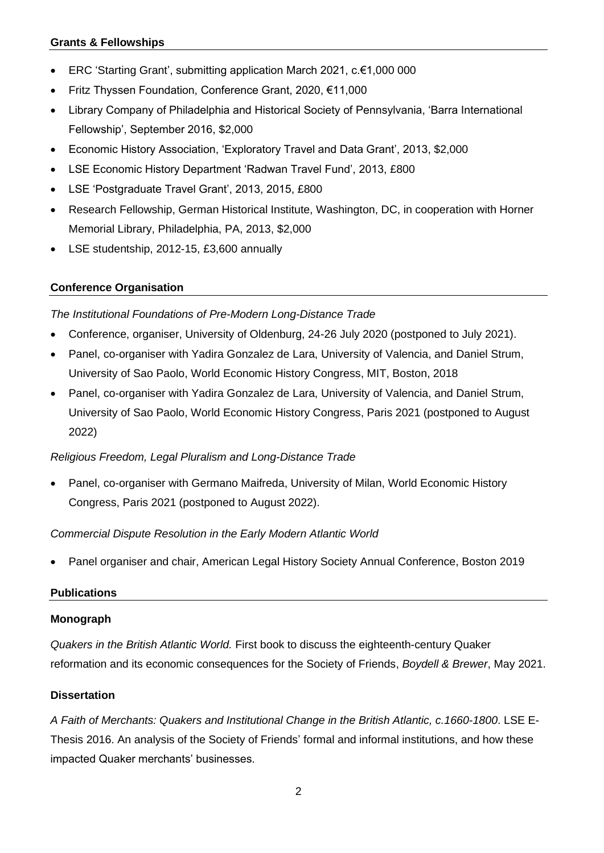# **Grants & Fellowships**

- ERC 'Starting Grant', submitting application March 2021, c.€1,000 000
- Fritz Thyssen Foundation, Conference Grant, 2020, €11,000
- Library Company of Philadelphia and Historical Society of Pennsylvania, 'Barra International Fellowship', September 2016, \$2,000
- Economic History Association, 'Exploratory Travel and Data Grant', 2013, \$2,000
- LSE Economic History Department 'Radwan Travel Fund', 2013, £800
- LSE 'Postgraduate Travel Grant', 2013, 2015, £800
- Research Fellowship, German Historical Institute, Washington, DC, in cooperation with Horner Memorial Library, Philadelphia, PA, 2013, \$2,000
- LSE studentship, 2012-15, £3,600 annually

# **Conference Organisation**

*The Institutional Foundations of Pre-Modern Long-Distance Trade*

- Conference, organiser, University of Oldenburg, 24-26 July 2020 (postponed to July 2021).
- Panel, co-organiser with Yadira Gonzalez de Lara, University of Valencia, and Daniel Strum, University of Sao Paolo, World Economic History Congress, MIT, Boston, 2018
- Panel, co-organiser with Yadira Gonzalez de Lara, University of Valencia, and Daniel Strum, University of Sao Paolo, World Economic History Congress, Paris 2021 (postponed to August 2022)

# *Religious Freedom, Legal Pluralism and Long-Distance Trade*

• Panel, co-organiser with Germano Maifreda, University of Milan, World Economic History Congress, Paris 2021 (postponed to August 2022).

# *Commercial Dispute Resolution in the Early Modern Atlantic World*

• Panel organiser and chair, American Legal History Society Annual Conference, Boston 2019

# **Publications**

# **Monograph**

*Quakers in the British Atlantic World.* First book to discuss the eighteenth-century Quaker reformation and its economic consequences for the Society of Friends, *Boydell & Brewer*, May 2021.

# **Dissertation**

*A Faith of Merchants: Quakers and Institutional Change in the British Atlantic, c.1660-1800*. LSE E-Thesis 2016. An analysis of the Society of Friends' formal and informal institutions, and how these impacted Quaker merchants' businesses.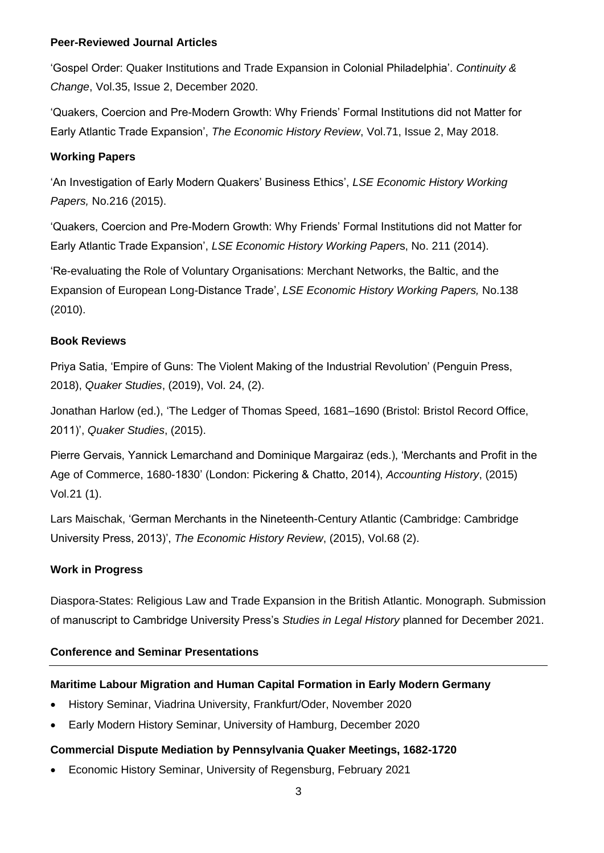#### **Peer-Reviewed Journal Articles**

'Gospel Order: Quaker Institutions and Trade Expansion in Colonial Philadelphia'. *Continuity & Change*, Vol.35, Issue 2, December 2020.

'Quakers, Coercion and Pre-Modern Growth: Why Friends' Formal Institutions did not Matter for Early Atlantic Trade Expansion', *The Economic History Review*, Vol.71, Issue 2, May 2018.

#### **Working Papers**

'An Investigation of Early Modern Quakers' Business Ethics', *LSE Economic History Working Papers,* No.216 (2015).

'Quakers, Coercion and Pre-Modern Growth: Why Friends' Formal Institutions did not Matter for Early Atlantic Trade Expansion', *LSE Economic History Working Paper*s, No. 211 (2014).

'Re-evaluating the Role of Voluntary Organisations: Merchant Networks, the Baltic, and the Expansion of European Long-Distance Trade', *LSE Economic History Working Papers,* No.138 (2010).

# **Book Reviews**

Priya Satia, 'Empire of Guns: The Violent Making of the Industrial Revolution' (Penguin Press, 2018), *Quaker Studies*, (2019), Vol. 24, (2).

Jonathan Harlow (ed.), 'The Ledger of Thomas Speed, 1681–1690 (Bristol: Bristol Record Office, 2011)', *Quaker Studies*, (2015).

Pierre Gervais, Yannick Lemarchand and Dominique Margairaz (eds.), 'Merchants and Profit in the Age of Commerce, 1680-1830' (London: Pickering & Chatto, 2014), *Accounting History*, (2015) Vol.21 (1).

Lars Maischak, 'German Merchants in the Nineteenth-Century Atlantic (Cambridge: Cambridge University Press, 2013)', *The Economic History Review*, (2015), Vol.68 (2).

# **Work in Progress**

Diaspora-States: Religious Law and Trade Expansion in the British Atlantic. Monograph. Submission of manuscript to Cambridge University Press's *Studies in Legal History* planned for December 2021.

# **Conference and Seminar Presentations**

# **Maritime Labour Migration and Human Capital Formation in Early Modern Germany**

- History Seminar, Viadrina University, Frankfurt/Oder, November 2020
- Early Modern History Seminar, University of Hamburg, December 2020

# **Commercial Dispute Mediation by Pennsylvania Quaker Meetings, 1682-1720**

• Economic History Seminar, University of Regensburg, February 2021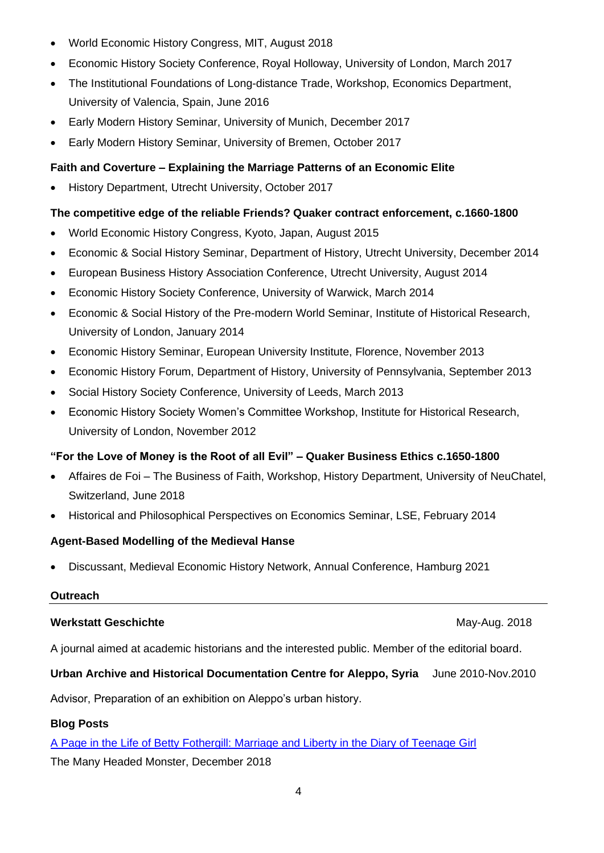- World Economic History Congress, MIT, August 2018
- Economic History Society Conference, Royal Holloway, University of London, March 2017
- The Institutional Foundations of Long-distance Trade, Workshop, Economics Department, University of Valencia, Spain, June 2016
- Early Modern History Seminar, University of Munich, December 2017
- Early Modern History Seminar, University of Bremen, October 2017

# **Faith and Coverture – Explaining the Marriage Patterns of an Economic Elite**

• History Department, Utrecht University, October 2017

# **The competitive edge of the reliable Friends? Quaker contract enforcement, c.1660-1800**

- World Economic History Congress, Kyoto, Japan, August 2015
- Economic & Social History Seminar, Department of History, Utrecht University, December 2014
- European Business History Association Conference, Utrecht University, August 2014
- Economic History Society Conference, University of Warwick, March 2014
- Economic & Social History of the Pre-modern World Seminar, Institute of Historical Research, University of London, January 2014
- Economic History Seminar, European University Institute, Florence, November 2013
- Economic History Forum, Department of History, University of Pennsylvania, September 2013
- Social History Society Conference, University of Leeds, March 2013
- Economic History Society Women's Committee Workshop, Institute for Historical Research, University of London, November 2012

# **"For the Love of Money is the Root of all Evil" – Quaker Business Ethics c.1650-1800**

- Affaires de Foi The Business of Faith, Workshop, History Department, University of NeuChatel, Switzerland, June 2018
- Historical and Philosophical Perspectives on Economics Seminar, LSE, February 2014

# **Agent-Based Modelling of the Medieval Hanse**

• Discussant, Medieval Economic History Network, Annual Conference, Hamburg 2021

# **Outreach**

# **Werkstatt Geschichte** May-Aug. 2018

A journal aimed at academic historians and the interested public. Member of the editorial board.

# **Urban Archive and Historical Documentation Centre for Aleppo, Syria** June 2010-Nov.2010

Advisor, Preparation of an exhibition on Aleppo's urban history.

# **Blog Posts**

[A Page in the Life of Betty Fothergill: Marriage and Liberty in the Diary of Teenage Girl](https://manyheadedmonster.wordpress.com/2018/12/03/a-page-in-the-life-of-betty-fothergill-marriage-and-liberty-in-the-diary-of-teenage-girl/) The Many Headed Monster, December 2018